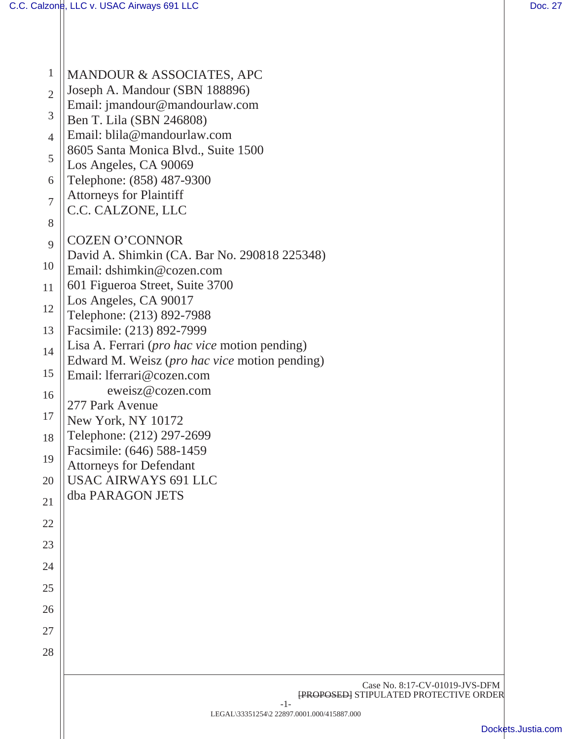| $\mathbf{1}$   | MANDOUR & ASSOCIATES, APC                                                                              |
|----------------|--------------------------------------------------------------------------------------------------------|
| $\overline{2}$ | Joseph A. Mandour (SBN 188896)<br>Email: jmandour@mandourlaw.com                                       |
| 3              | Ben T. Lila (SBN 246808)                                                                               |
| $\overline{4}$ | Email: blila@mandourlaw.com                                                                            |
| 5              | 8605 Santa Monica Blvd., Suite 1500                                                                    |
|                | Los Angeles, CA 90069                                                                                  |
| 6              | Telephone: (858) 487-9300<br><b>Attorneys for Plaintiff</b>                                            |
| $\overline{7}$ | C.C. CALZONE, LLC                                                                                      |
| 8              |                                                                                                        |
| 9              | <b>COZEN O'CONNOR</b>                                                                                  |
| 10             | David A. Shimkin (CA. Bar No. 290818 225348)<br>Email: dshimkin@cozen.com                              |
| 11             | 601 Figueroa Street, Suite 3700                                                                        |
|                | Los Angeles, CA 90017                                                                                  |
| 12             | Telephone: (213) 892-7988                                                                              |
| 13             | Facsimile: (213) 892-7999                                                                              |
| 14             | Lisa A. Ferrari ( <i>pro hac vice</i> motion pending)<br>Edward M. Weisz (pro hac vice motion pending) |
| 15             | Email: lferrari@cozen.com                                                                              |
| 16             | eweisz@cozen.com                                                                                       |
| 17             | 277 Park Avenue                                                                                        |
| 18             | New York, NY 10172<br>Telephone: (212) 297-2699                                                        |
|                | Facsimile: (646) 588-1459                                                                              |
| 19             | <b>Attorneys for Defendant</b>                                                                         |
| 20             | <b>USAC AIRWAYS 691 LLC</b>                                                                            |
| 21             | dba PARAGON JETS                                                                                       |
| 22             |                                                                                                        |
| 23             |                                                                                                        |
| 24             |                                                                                                        |
| 25             |                                                                                                        |
| 26             |                                                                                                        |
| 27             |                                                                                                        |
|                |                                                                                                        |
| 28             |                                                                                                        |
|                | Case No. 8:17-CV-01019-JVS-DFM                                                                         |
|                | <b>[PROPOSED] STIPULATED PROTECTIVE ORDER</b><br>$-1-$                                                 |
|                | LEGAL\33351254\2 22897.0001.000/415887.000                                                             |
|                | <b>Docke</b>                                                                                           |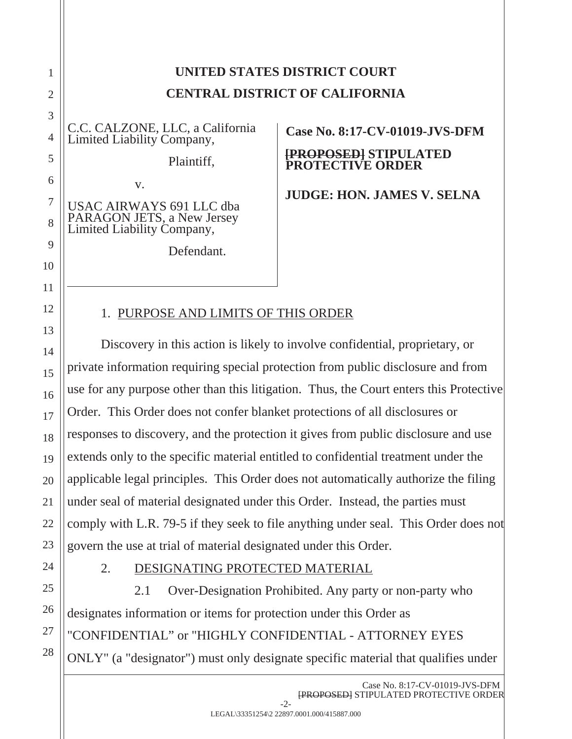| UNITED STATES DISTRICT COURT          |
|---------------------------------------|
| <b>CENTRAL DISTRICT OF CALIFORNIA</b> |

C.C. CALZONE, LLC, a California Limited Liability Company,

Plaintiff,

USAC AIRWAYS 691 LLC dba PARAGON JETS, a New Jersey Limited Liability Company,

v.

Defendant.

**Case No. 8:17-CV-01019-JVS-DFM** 

#### **[PROPOSED] STIPULATED PROTECTIVE ORDER**

**JUDGE: HON. JAMES V. SELNA** 

## 1. PURPOSE AND LIMITS OF THIS ORDER

Discovery in this action is likely to involve confidential, proprietary, or private information requiring special protection from public disclosure and from use for any purpose other than this litigation. Thus, the Court enters this Protective Order. This Order does not confer blanket protections of all disclosures or responses to discovery, and the protection it gives from public disclosure and use extends only to the specific material entitled to confidential treatment under the applicable legal principles. This Order does not automatically authorize the filing under seal of material designated under this Order. Instead, the parties must comply with L.R. 79-5 if they seek to file anything under seal. This Order does not govern the use at trial of material designated under this Order.

## 2. DESIGNATING PROTECTED MATERIAL

 2.1 Over-Designation Prohibited. Any party or non-party who designates information or items for protection under this Order as "CONFIDENTIAL" or "HIGHLY CONFIDENTIAL - ATTORNEY EYES ONLY" (a "designator") must only designate specific material that qualifies under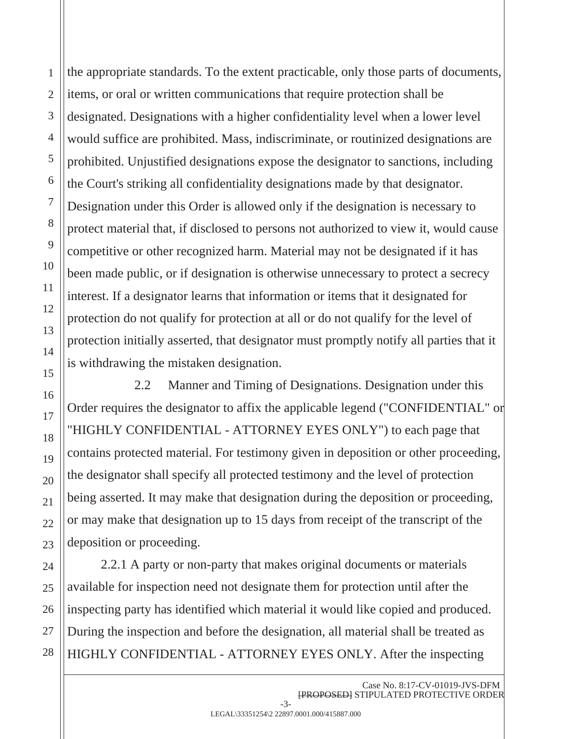the appropriate standards. To the extent practicable, only those parts of documents, items, or oral or written communications that require protection shall be designated. Designations with a higher confidentiality level when a lower level would suffice are prohibited. Mass, indiscriminate, or routinized designations are prohibited. Unjustified designations expose the designator to sanctions, including the Court's striking all confidentiality designations made by that designator. Designation under this Order is allowed only if the designation is necessary to protect material that, if disclosed to persons not authorized to view it, would cause competitive or other recognized harm. Material may not be designated if it has been made public, or if designation is otherwise unnecessary to protect a secrecy interest. If a designator learns that information or items that it designated for protection do not qualify for protection at all or do not qualify for the level of protection initially asserted, that designator must promptly notify all parties that it is withdrawing the mistaken designation.

 2.2 Manner and Timing of Designations. Designation under this Order requires the designator to affix the applicable legend ("CONFIDENTIAL" or "HIGHLY CONFIDENTIAL - ATTORNEY EYES ONLY") to each page that contains protected material. For testimony given in deposition or other proceeding, the designator shall specify all protected testimony and the level of protection being asserted. It may make that designation during the deposition or proceeding, or may make that designation up to 15 days from receipt of the transcript of the deposition or proceeding.

2.2.1 A party or non-party that makes original documents or materials available for inspection need not designate them for protection until after the inspecting party has identified which material it would like copied and produced. During the inspection and before the designation, all material shall be treated as HIGHLY CONFIDENTIAL - ATTORNEY EYES ONLY. After the inspecting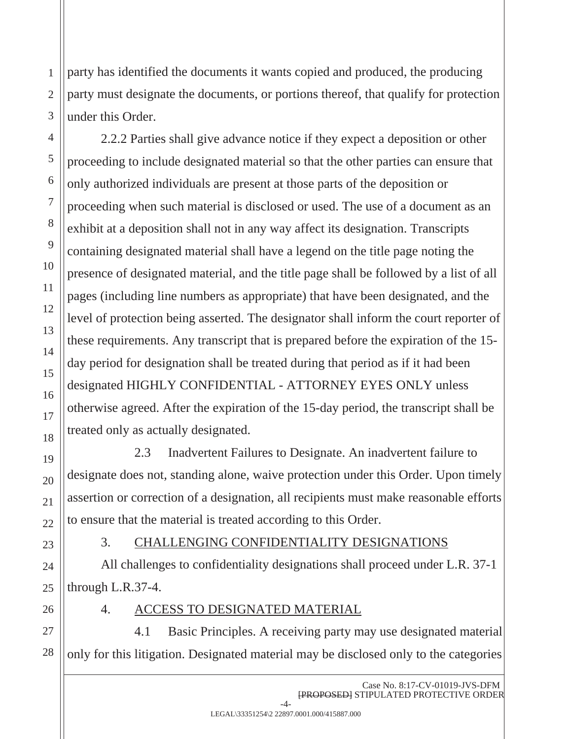party has identified the documents it wants copied and produced, the producing party must designate the documents, or portions thereof, that qualify for protection under this Order.

2.2.2 Parties shall give advance notice if they expect a deposition or other proceeding to include designated material so that the other parties can ensure that only authorized individuals are present at those parts of the deposition or proceeding when such material is disclosed or used. The use of a document as an exhibit at a deposition shall not in any way affect its designation. Transcripts containing designated material shall have a legend on the title page noting the presence of designated material, and the title page shall be followed by a list of all pages (including line numbers as appropriate) that have been designated, and the level of protection being asserted. The designator shall inform the court reporter of these requirements. Any transcript that is prepared before the expiration of the 15 day period for designation shall be treated during that period as if it had been designated HIGHLY CONFIDENTIAL - ATTORNEY EYES ONLY unless otherwise agreed. After the expiration of the 15-day period, the transcript shall be treated only as actually designated.

 2.3 Inadvertent Failures to Designate. An inadvertent failure to designate does not, standing alone, waive protection under this Order. Upon timely assertion or correction of a designation, all recipients must make reasonable efforts to ensure that the material is treated according to this Order.

#### 3. CHALLENGING CONFIDENTIALITY DESIGNATIONS

All challenges to confidentiality designations shall proceed under L.R. 37-1 through L.R.37-4.

- 
- 4. ACCESS TO DESIGNATED MATERIAL

 4.1 Basic Principles. A receiving party may use designated material only for this litigation. Designated material may be disclosed only to the categories

1

2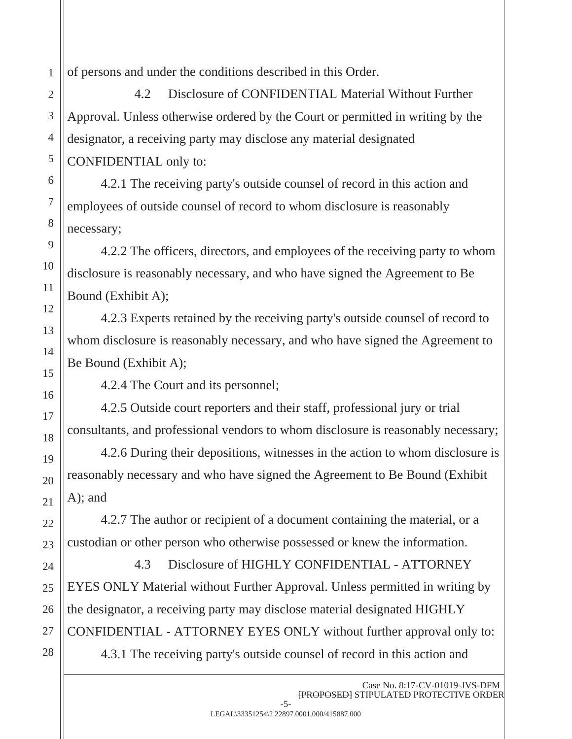of persons and under the conditions described in this Order.

 4.2 Disclosure of CONFIDENTIAL Material Without Further Approval. Unless otherwise ordered by the Court or permitted in writing by the designator, a receiving party may disclose any material designated CONFIDENTIAL only to:

4.2.1 The receiving party's outside counsel of record in this action and employees of outside counsel of record to whom disclosure is reasonably necessary;

4.2.2 The officers, directors, and employees of the receiving party to whom disclosure is reasonably necessary, and who have signed the Agreement to Be Bound (Exhibit A);

4.2.3 Experts retained by the receiving party's outside counsel of record to whom disclosure is reasonably necessary, and who have signed the Agreement to Be Bound (Exhibit A);

4.2.4 The Court and its personnel;

4.2.5 Outside court reporters and their staff, professional jury or trial consultants, and professional vendors to whom disclosure is reasonably necessary;

4.2.6 During their depositions, witnesses in the action to whom disclosure is reasonably necessary and who have signed the Agreement to Be Bound (Exhibit A); and

4.2.7 The author or recipient of a document containing the material, or a custodian or other person who otherwise possessed or knew the information.

 4.3 Disclosure of HIGHLY CONFIDENTIAL - ATTORNEY EYES ONLY Material without Further Approval. Unless permitted in writing by the designator, a receiving party may disclose material designated HIGHLY CONFIDENTIAL - ATTORNEY EYES ONLY without further approval only to:

4.3.1 The receiving party's outside counsel of record in this action and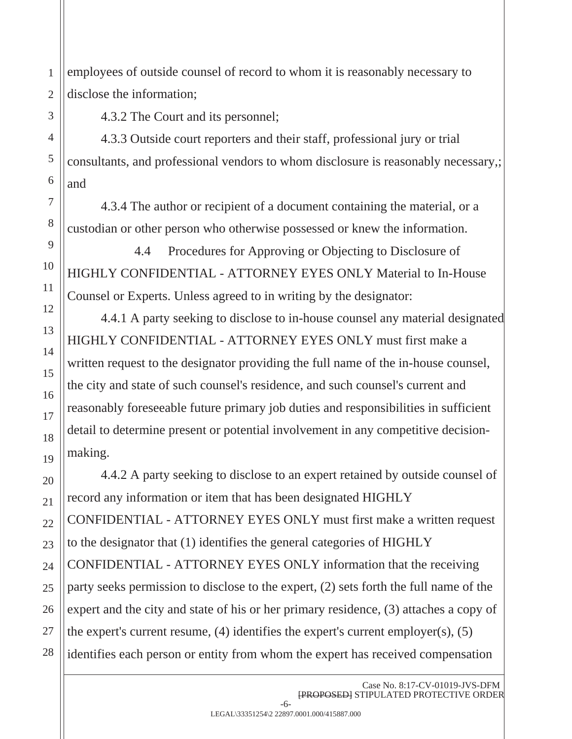employees of outside counsel of record to whom it is reasonably necessary to disclose the information;

4.3.2 The Court and its personnel;

4.3.3 Outside court reporters and their staff, professional jury or trial consultants, and professional vendors to whom disclosure is reasonably necessary,; and

4.3.4 The author or recipient of a document containing the material, or a custodian or other person who otherwise possessed or knew the information.

 4.4 Procedures for Approving or Objecting to Disclosure of HIGHLY CONFIDENTIAL - ATTORNEY EYES ONLY Material to In-House Counsel or Experts. Unless agreed to in writing by the designator:

4.4.1 A party seeking to disclose to in-house counsel any material designated HIGHLY CONFIDENTIAL - ATTORNEY EYES ONLY must first make a written request to the designator providing the full name of the in-house counsel, the city and state of such counsel's residence, and such counsel's current and reasonably foreseeable future primary job duties and responsibilities in sufficient detail to determine present or potential involvement in any competitive decisionmaking.

4.4.2 A party seeking to disclose to an expert retained by outside counsel of record any information or item that has been designated HIGHLY CONFIDENTIAL - ATTORNEY EYES ONLY must first make a written request to the designator that (1) identifies the general categories of HIGHLY CONFIDENTIAL - ATTORNEY EYES ONLY information that the receiving party seeks permission to disclose to the expert, (2) sets forth the full name of the expert and the city and state of his or her primary residence, (3) attaches a copy of the expert's current resume, (4) identifies the expert's current employer(s), (5) identifies each person or entity from whom the expert has received compensation

1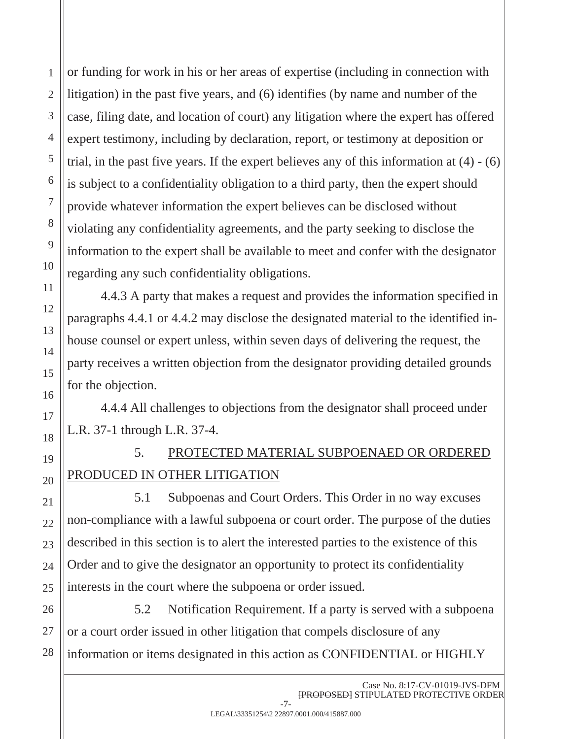or funding for work in his or her areas of expertise (including in connection with litigation) in the past five years, and (6) identifies (by name and number of the case, filing date, and location of court) any litigation where the expert has offered expert testimony, including by declaration, report, or testimony at deposition or trial, in the past five years. If the expert believes any of this information at  $(4) - (6)$ is subject to a confidentiality obligation to a third party, then the expert should provide whatever information the expert believes can be disclosed without violating any confidentiality agreements, and the party seeking to disclose the information to the expert shall be available to meet and confer with the designator regarding any such confidentiality obligations.

4.4.3 A party that makes a request and provides the information specified in paragraphs 4.4.1 or 4.4.2 may disclose the designated material to the identified inhouse counsel or expert unless, within seven days of delivering the request, the party receives a written objection from the designator providing detailed grounds for the objection.

4.4.4 All challenges to objections from the designator shall proceed under L.R. 37-1 through L.R. 37-4.

# 5. PROTECTED MATERIAL SUBPOENAED OR ORDERED PRODUCED IN OTHER LITIGATION

 5.1 Subpoenas and Court Orders. This Order in no way excuses non-compliance with a lawful subpoena or court order. The purpose of the duties described in this section is to alert the interested parties to the existence of this Order and to give the designator an opportunity to protect its confidentiality interests in the court where the subpoena or order issued.

 5.2 Notification Requirement. If a party is served with a subpoena or a court order issued in other litigation that compels disclosure of any information or items designated in this action as CONFIDENTIAL or HIGHLY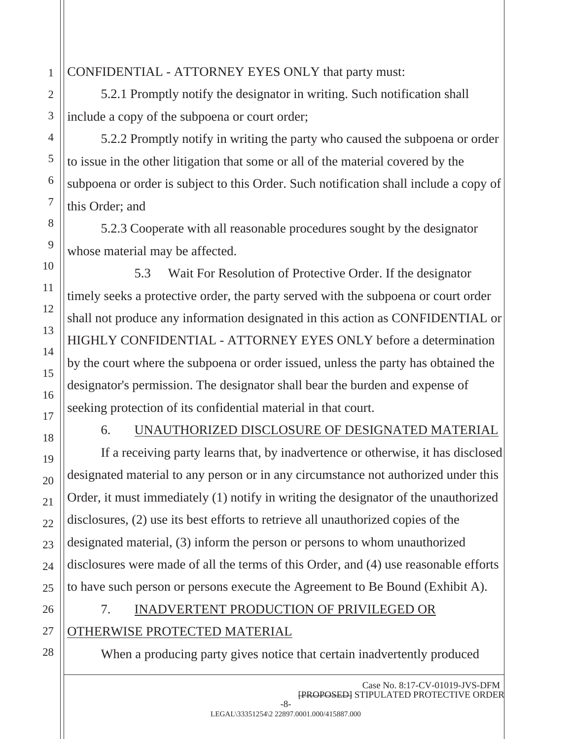#### CONFIDENTIAL - ATTORNEY EYES ONLY that party must:

5.2.1 Promptly notify the designator in writing. Such notification shall include a copy of the subpoena or court order;

5.2.2 Promptly notify in writing the party who caused the subpoena or order to issue in the other litigation that some or all of the material covered by the subpoena or order is subject to this Order. Such notification shall include a copy of this Order; and

5.2.3 Cooperate with all reasonable procedures sought by the designator whose material may be affected.

 5.3 Wait For Resolution of Protective Order. If the designator timely seeks a protective order, the party served with the subpoena or court order shall not produce any information designated in this action as CONFIDENTIAL or HIGHLY CONFIDENTIAL - ATTORNEY EYES ONLY before a determination by the court where the subpoena or order issued, unless the party has obtained the designator's permission. The designator shall bear the burden and expense of seeking protection of its confidential material in that court.

#### 6. UNAUTHORIZED DISCLOSURE OF DESIGNATED MATERIAL

If a receiving party learns that, by inadvertence or otherwise, it has disclosed designated material to any person or in any circumstance not authorized under this Order, it must immediately (1) notify in writing the designator of the unauthorized disclosures, (2) use its best efforts to retrieve all unauthorized copies of the designated material, (3) inform the person or persons to whom unauthorized disclosures were made of all the terms of this Order, and (4) use reasonable efforts to have such person or persons execute the Agreement to Be Bound (Exhibit A).

## 7. INADVERTENT PRODUCTION OF PRIVILEGED OR

### OTHERWISE PROTECTED MATERIAL

When a producing party gives notice that certain inadvertently produced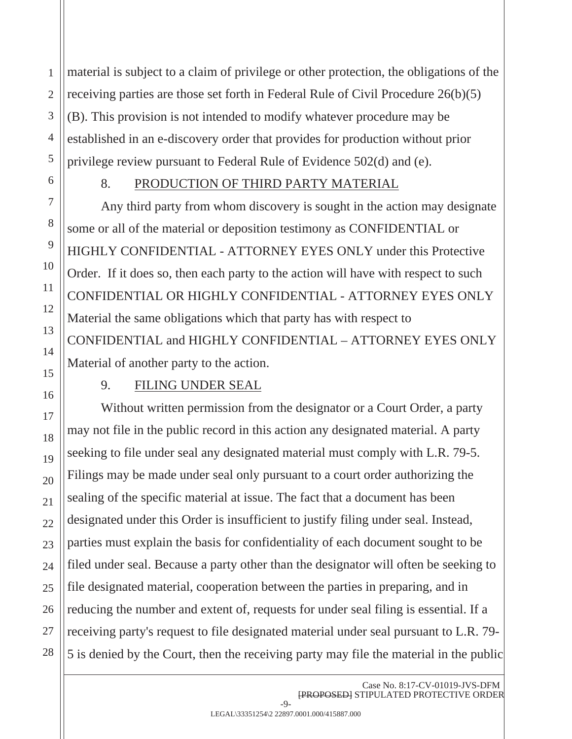material is subject to a claim of privilege or other protection, the obligations of the receiving parties are those set forth in Federal Rule of Civil Procedure 26(b)(5) (B). This provision is not intended to modify whatever procedure may be established in an e-discovery order that provides for production without prior privilege review pursuant to Federal Rule of Evidence 502(d) and (e).

#### 8. PRODUCTION OF THIRD PARTY MATERIAL

 Any third party from whom discovery is sought in the action may designate some or all of the material or deposition testimony as CONFIDENTIAL or HIGHLY CONFIDENTIAL - ATTORNEY EYES ONLY under this Protective Order. If it does so, then each party to the action will have with respect to such CONFIDENTIAL OR HIGHLY CONFIDENTIAL - ATTORNEY EYES ONLY Material the same obligations which that party has with respect to CONFIDENTIAL and HIGHLY CONFIDENTIAL – ATTORNEY EYES ONLY Material of another party to the action.

#### 9. FILING UNDER SEAL

Without written permission from the designator or a Court Order, a party may not file in the public record in this action any designated material. A party seeking to file under seal any designated material must comply with L.R. 79-5. Filings may be made under seal only pursuant to a court order authorizing the sealing of the specific material at issue. The fact that a document has been designated under this Order is insufficient to justify filing under seal. Instead, parties must explain the basis for confidentiality of each document sought to be filed under seal. Because a party other than the designator will often be seeking to file designated material, cooperation between the parties in preparing, and in reducing the number and extent of, requests for under seal filing is essential. If a receiving party's request to file designated material under seal pursuant to L.R. 79- 5 is denied by the Court, then the receiving party may file the material in the public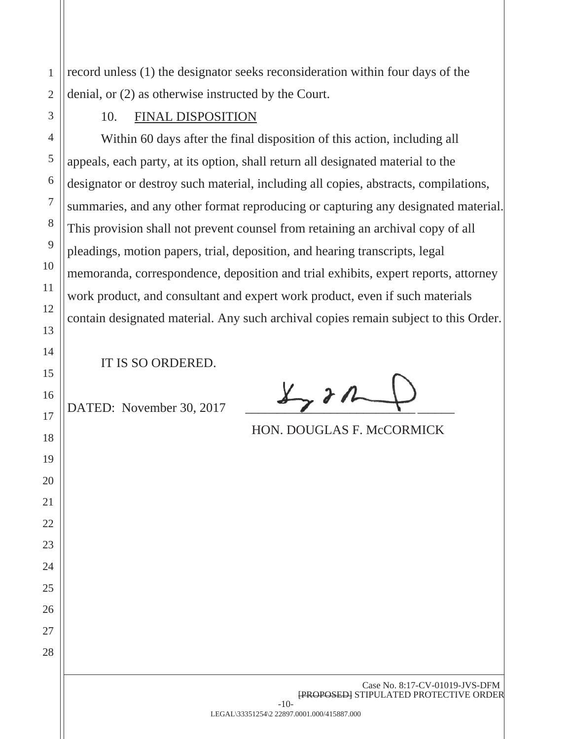record unless (1) the designator seeks reconsideration within four days of the denial, or (2) as otherwise instructed by the Court.

#### 10. FINAL DISPOSITION

Within 60 days after the final disposition of this action, including all appeals, each party, at its option, shall return all designated material to the designator or destroy such material, including all copies, abstracts, compilations, summaries, and any other format reproducing or capturing any designated material. This provision shall not prevent counsel from retaining an archival copy of all pleadings, motion papers, trial, deposition, and hearing transcripts, legal memoranda, correspondence, deposition and trial exhibits, expert reports, attorney work product, and consultant and expert work product, even if such materials contain designated material. Any such archival copies remain subject to this Order.

IT IS SO ORDERED.

DATED: November 30, 2017

 $\overline{\lambda}_{\gamma}$  d  $\overline{\lambda}$ 

HON. DOUGLAS F. McCORMICK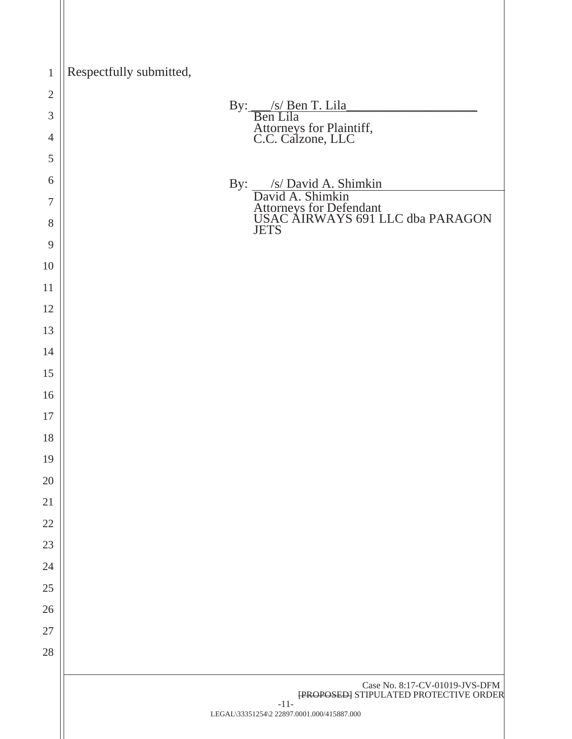| $\mathbf{1}$   | Respectfully submitted,                                                         |
|----------------|---------------------------------------------------------------------------------|
| $\mathbf{2}$   |                                                                                 |
| 3              | By: <u>S/ Ben T. Lila</u><br>Ben Lila                                           |
| $\overline{4}$ | Attorneys for Plaintiff,<br>C.C. Calzone, LLC                                   |
| 5              |                                                                                 |
| 6              | By: S/ David A. Shimkin<br>David A. Shimkin                                     |
| 7              | Attorneys for Defendant<br>USAC AIRWAYS 691 LLC dba PARAGON                     |
| 8              | <b>JETS</b>                                                                     |
| 9<br>10        |                                                                                 |
| 11             |                                                                                 |
| 12             |                                                                                 |
| 13             |                                                                                 |
| 14             |                                                                                 |
| 15             |                                                                                 |
| 16             |                                                                                 |
| 17             |                                                                                 |
| 18             |                                                                                 |
| 19             |                                                                                 |
| 20             |                                                                                 |
| 21             |                                                                                 |
| 22             |                                                                                 |
| 23             |                                                                                 |
| 24             |                                                                                 |
| $25\,$         |                                                                                 |
| 26             |                                                                                 |
| 27             |                                                                                 |
| 28             |                                                                                 |
|                | Case No. 8:17-CV-01019-JVS-DFM<br><b>{PROPOSED}</b> STIPULATED PROTECTIVE ORDER |
|                | $-11-$<br>LEGAL\33351254\2 22897.0001.000/415887.000                            |
|                |                                                                                 |